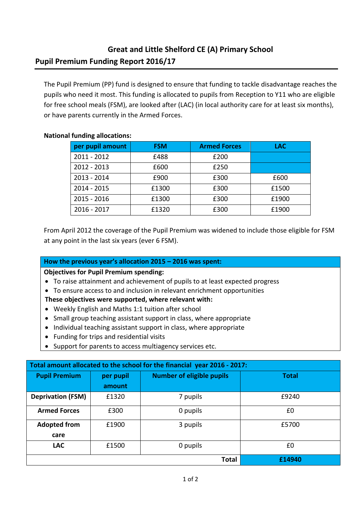## **Great and Little Shelford CE (A) Primary School Pupil Premium Funding Report 2016/17**

The Pupil Premium (PP) fund is designed to ensure that funding to tackle disadvantage reaches the pupils who need it most. This funding is allocated to pupils from Reception to Y11 who are eligible for free school meals (FSM), are looked after (LAC) (in local authority care for at least six months), or have parents currently in the Armed Forces.

|  |  | <b>National funding allocations:</b> |
|--|--|--------------------------------------|
|--|--|--------------------------------------|

| per pupil amount | <b>FSM</b> | <b>Armed Forces</b> | <b>LAC</b> |
|------------------|------------|---------------------|------------|
| $2011 - 2012$    | £488       | £200                |            |
| $2012 - 2013$    | £600       | £250                |            |
| $2013 - 2014$    | £900       | £300                | £600       |
| 2014 - 2015      | £1300      | £300                | £1500      |
| $2015 - 2016$    | £1300      | £300                | £1900      |
| $2016 - 2017$    | £1320      | £300                | £1900      |

From April 2012 the coverage of the Pupil Premium was widened to include those eligible for FSM at any point in the last six years (ever 6 FSM).

## **How the previous year's allocation 2015 – 2016 was spent:**

## **Objectives for Pupil Premium spending:**

- To raise attainment and achievement of pupils to at least expected progress
- To ensure access to and inclusion in relevant enrichment opportunities

## **These objectives were supported, where relevant with:**

- Weekly English and Maths 1:1 tuition after school
- Small group teaching assistant support in class, where appropriate
- Individual teaching assistant support in class, where appropriate
- Funding for trips and residential visits
- Support for parents to access multiagency services etc.

| Total amount allocated to the school for the financial year 2016 - 2017: |           |                                  |              |  |  |
|--------------------------------------------------------------------------|-----------|----------------------------------|--------------|--|--|
| <b>Pupil Premium</b>                                                     | per pupil | <b>Number of eligible pupils</b> | <b>Total</b> |  |  |
|                                                                          | amount    |                                  |              |  |  |
| <b>Deprivation (FSM)</b>                                                 | £1320     | 7 pupils                         | £9240        |  |  |
| <b>Armed Forces</b>                                                      | £300      | 0 pupils                         | £0           |  |  |
| <b>Adopted from</b>                                                      | £1900     | 3 pupils                         | £5700        |  |  |
| care                                                                     |           |                                  |              |  |  |
| <b>LAC</b>                                                               | £1500     | 0 pupils                         | £0           |  |  |
|                                                                          |           | <b>Total</b>                     | £14940       |  |  |